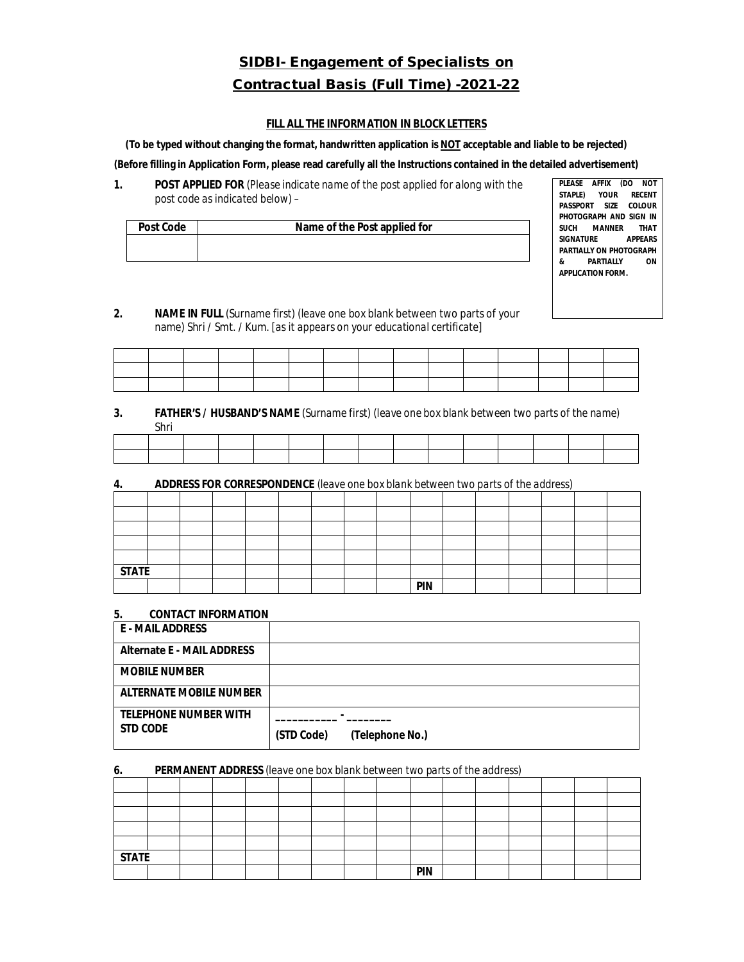# **SIDBI- Engagement of Specialists on Contractual Basis (Full Time) -2021-22**

#### **FILL ALL THE INFORMATION IN BLOCK LETTERS**

**(To be typed without changing the format, handwritten application is NOT acceptable and liable to be rejected)**

**(Before filling in Application Form, please read carefully all the Instructions contained in the detailed advertisement)**

**1. POST APPLIED FOR** *(Please indicate name of the post applied for along with the post code as indicated below)* –

| <b>Post Code</b> | Name of the Post applied for |
|------------------|------------------------------|
|                  |                              |
|                  |                              |

**PLEASE AFFIX (DO NOT STAPLE) YOUR RECENT PASSPORT SIZE PHOTOGRAPH AND SIGN IN SUCH MANNER SIGNATURE APPEARS PARTIALLY ON PHOTOGRAPH & PARTIALLY ON APPLICATION FORM.**

*2.* **NAME IN FULL** (Surname first) (leave one box blank between two parts of your name) Shri / Smt. / Kum. *[as it appears on your educational certificate]*

| and the state of the state |  |  |  |  |  |  |  |
|----------------------------|--|--|--|--|--|--|--|
|                            |  |  |  |  |  |  |  |

## *3.* **FATHER'S / HUSBAND'S NAME** *(Surname first) (leave one box blank between two parts of the name)* Shri

#### **4. ADDRESS FOR CORRESPONDENCE** *(leave one box blank between two parts of the address)*

| <b>STATE</b> |  |  |  |  |            |  |  |  |
|--------------|--|--|--|--|------------|--|--|--|
|              |  |  |  |  | <b>PIN</b> |  |  |  |

#### **5. CONTACT INFORMATION**

| E - MAIL ADDRESS                  |                               |
|-----------------------------------|-------------------------------|
| <b>Alternate E - MAIL ADDRESS</b> |                               |
| <b>MOBILE NUMBER</b>              |                               |
| <b>ALTERNATE MOBILE NUMBER</b>    |                               |
| <b>TELEPHONE NUMBER WITH</b>      |                               |
| <b>STD CODE</b>                   | (STD Code)<br>(Telephone No.) |

#### *6.* **PERMANENT ADDRESS** *(leave one box blank between two parts of the address)*

| <b>STATE</b> |  |  |  |  |            |  |  |  |
|--------------|--|--|--|--|------------|--|--|--|
|              |  |  |  |  | <b>PIN</b> |  |  |  |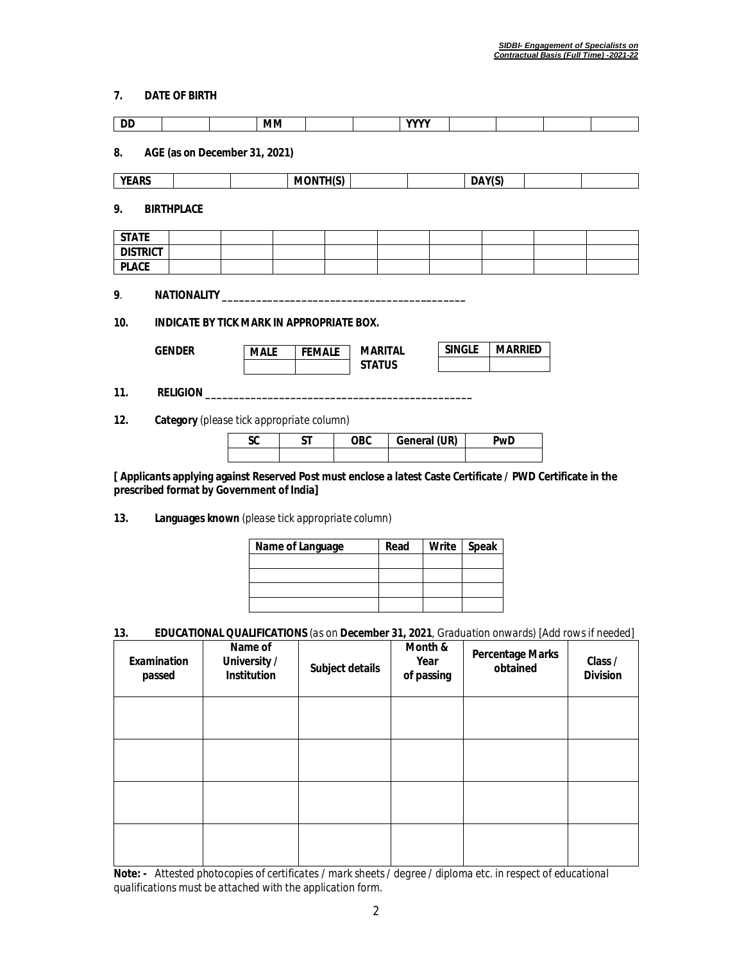## **7. DATE OF BIRTH**

| DD              |                                           | MМ          |                 |                                 | <b>YYYY</b>  |               |        |                |  |
|-----------------|-------------------------------------------|-------------|-----------------|---------------------------------|--------------|---------------|--------|----------------|--|
| 8.              | AGE (as on December 31, 2021)             |             |                 |                                 |              |               |        |                |  |
| <b>YEARS</b>    |                                           |             | <b>MONTH(S)</b> |                                 |              |               | DAY(S) |                |  |
| 9.              | <b>BIRTHPLACE</b>                         |             |                 |                                 |              |               |        |                |  |
| <b>STATE</b>    |                                           |             |                 |                                 |              |               |        |                |  |
| <b>DISTRICT</b> |                                           |             |                 |                                 |              |               |        |                |  |
| <b>PLACE</b>    |                                           |             |                 |                                 |              |               |        |                |  |
| 9.              |                                           |             |                 |                                 |              |               |        |                |  |
| 10.             | INDICATE BY TICK MARK IN APPROPRIATE BOX. |             |                 |                                 |              |               |        |                |  |
|                 | <b>GENDER</b>                             | <b>MALE</b> | <b>FEMALE</b>   | <b>MARITAL</b><br><b>STATUS</b> |              | <b>SINGLE</b> |        | <b>MARRIED</b> |  |
| 11.             |                                           |             |                 |                                 |              |               |        |                |  |
| 12.             | Category (please tick appropriate column) |             |                 |                                 |              |               |        |                |  |
|                 |                                           | <b>SC</b>   | <b>ST</b>       | <b>OBC</b>                      | General (UR) |               |        | <b>PwD</b>     |  |
|                 |                                           |             |                 |                                 |              |               |        |                |  |

**[ Applicants applying against Reserved Post must enclose a latest Caste Certificate / PWD Certificate in the prescribed format by Government of India]**

**13. Languages known** *(please tick appropriate column)*

| Name of Language | Read | Write Speak |
|------------------|------|-------------|
|                  |      |             |
|                  |      |             |
|                  |      |             |
|                  |      |             |

## **13. EDUCATIONAL QUALIFICATIONS** *(as on* **December 31, 2021***, Graduation onwards) [Add rows if needed]*

| <b>Examination</b><br>passed | Name of<br>University /<br>Institution | Subject details | Month &<br>Year<br>of passing | <b>Percentage Marks</b><br>obtained | Class /<br><b>Division</b> |
|------------------------------|----------------------------------------|-----------------|-------------------------------|-------------------------------------|----------------------------|
|                              |                                        |                 |                               |                                     |                            |
|                              |                                        |                 |                               |                                     |                            |
|                              |                                        |                 |                               |                                     |                            |
|                              |                                        |                 |                               |                                     |                            |

**Note: -** *Attested photocopies of certificates / mark sheets / degree / diploma etc. in respect of educational qualifications must be attached with the application form.*